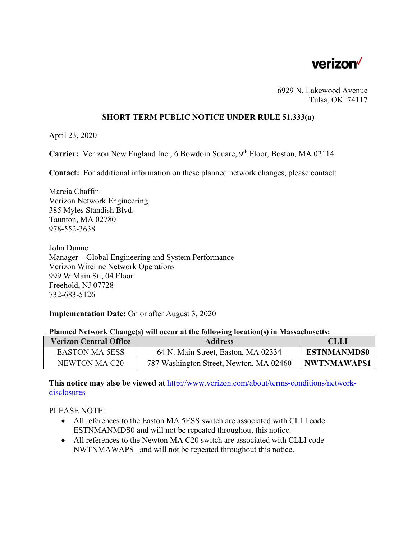

6929 N. Lakewood Avenue Tulsa, OK 74117

## **SHORT TERM PUBLIC NOTICE UNDER RULE 51.333(a)**

April 23, 2020

**Carrier:** Verizon New England Inc., 6 Bowdoin Square, 9<sup>th</sup> Floor, Boston, MA 02114

**Contact:** For additional information on these planned network changes, please contact:

Marcia Chaffin Verizon Network Engineering 385 Myles Standish Blvd. Taunton, MA 02780 978-552-3638

John Dunne Manager – Global Engineering and System Performance Verizon Wireline Network Operations 999 W Main St., 04 Floor Freehold, NJ 07728 732-683-5126

## **Implementation Date:** On or after August 3, 2020

|  | Planned Network Change(s) will occur at the following location(s) in Massachusetts: |
|--|-------------------------------------------------------------------------------------|
|  |                                                                                     |

| <b>Verizon Central Office</b> | <b>Address</b>                          | CLLI               |
|-------------------------------|-----------------------------------------|--------------------|
| <b>EASTON MA 5ESS</b>         | 64 N. Main Street, Easton, MA 02334     | <b>ESTNMANMDS0</b> |
| NEWTON MA C20                 | 787 Washington Street, Newton, MA 02460 | <b>NWTNMAWAPS1</b> |

**This notice may also be viewed at** http://www.verizon.com/about/terms-conditions/networkdisclosures

PLEASE NOTE:

- All references to the Easton MA 5ESS switch are associated with CLLI code ESTNMANMDS0 and will not be repeated throughout this notice.
- All references to the Newton MA C20 switch are associated with CLLI code NWTNMAWAPS1 and will not be repeated throughout this notice.